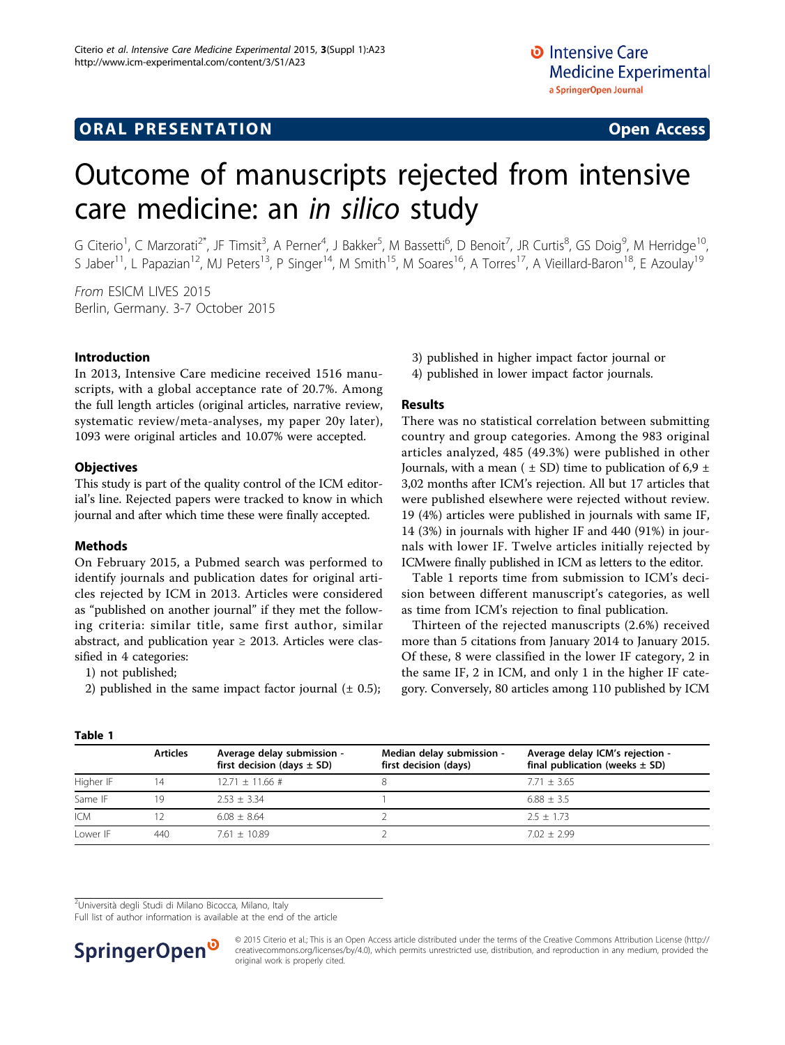# **ORAL PRESENTATION OPEN ACCESS**

# Outcome of manuscripts rejected from intensive care medicine: an in silico study

G Citerio<sup>1</sup>, C Marzorati<sup>2\*</sup>, JF Timsit<sup>3</sup>, A Perner<sup>4</sup>, J Bakker<sup>5</sup>, M Bassetti<sup>6</sup>, D Benoit<sup>7</sup>, JR Curtis<sup>8</sup>, GS Doig<sup>9</sup>, M Herridge<sup>10</sup>, S Jaber<sup>11</sup>, L Papazian<sup>12</sup>, MJ Peters<sup>13</sup>, P Singer<sup>14</sup>, M Smith<sup>15</sup>, M Soares<sup>16</sup>, A Torres<sup>17</sup>, A Vieillard-Baron<sup>18</sup>, E Azoulay<sup>19</sup>

From ESICM LIVES 2015 Berlin, Germany. 3-7 October 2015

#### Introduction

In 2013, Intensive Care medicine received 1516 manuscripts, with a global acceptance rate of 20.7%. Among the full length articles (original articles, narrative review, systematic review/meta-analyses, my paper 20y later), 1093 were original articles and 10.07% were accepted.

#### **Objectives**

This study is part of the quality control of the ICM editorial's line. Rejected papers were tracked to know in which journal and after which time these were finally accepted.

#### Methods

On February 2015, a Pubmed search was performed to identify journals and publication dates for original articles rejected by ICM in 2013. Articles were considered as "published on another journal" if they met the following criteria: similar title, same first author, similar abstract, and publication year  $\geq$  2013. Articles were classified in 4 categories:

- 1) not published;
- 2) published in the same impact factor journal  $(± 0.5)$ ;
- 3) published in higher impact factor journal or
- 4) published in lower impact factor journals.

### Results

There was no statistical correlation between submitting country and group categories. Among the 983 original articles analyzed, 485 (49.3%) were published in other Journals, with a mean ( $\pm$  SD) time to publication of 6,9  $\pm$ 3,02 months after ICM's rejection. All but 17 articles that were published elsewhere were rejected without review. 19 (4%) articles were published in journals with same IF, 14 (3%) in journals with higher IF and 440 (91%) in journals with lower IF. Twelve articles initially rejected by ICMwere finally published in ICM as letters to the editor.

Table 1 reports time from submission to ICM's decision between different manuscript's categories, as well as time from ICM's rejection to final publication.

Thirteen of the rejected manuscripts (2.6%) received more than 5 citations from January 2014 to January 2015. Of these, 8 were classified in the lower IF category, 2 in the same IF, 2 in ICM, and only 1 in the higher IF category. Conversely, 80 articles among 110 published by ICM

| Table 1    |                 |                                                              |                                                    |                                                                       |
|------------|-----------------|--------------------------------------------------------------|----------------------------------------------------|-----------------------------------------------------------------------|
|            | <b>Articles</b> | Average delay submission -<br>first decision (days $\pm$ SD) | Median delay submission -<br>first decision (days) | Average delay ICM's rejection -<br>final publication (weeks $\pm$ SD) |
| Higher IF  | 14              | $12.71 \pm 11.66 \pm 1$                                      |                                                    | $7.71 + 3.65$                                                         |
| Same IF    | 19              | $253 + 334$                                                  |                                                    | $6.88 + 3.5$                                                          |
| <b>ICM</b> |                 | $6.08 + 8.64$                                                |                                                    | $2.5 + 1.73$                                                          |
| Lower IF   | 440             | $7.61 + 10.89$                                               |                                                    | $7.02 + 2.99$                                                         |

<sup>2</sup>Università degli Studi di Milano Bicocca, Milano, Italy

Full list of author information is available at the end of the article



© 2015 Citerio et al.; This is an Open Access article distributed under the terms of the Creative Commons Attribution License [\(http://](http://creativecommons.org/licenses/by/4.0) [creativecommons.org/licenses/by/4.0](http://creativecommons.org/licenses/by/4.0)), which permits unrestricted use, distribution, and reproduction in any medium, provided the original work is properly cited.